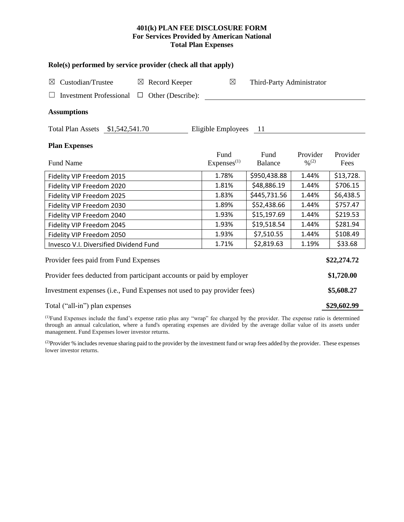# **401(k) PLAN FEE DISCLOSURE FORM For Services Provided by American National Total Plan Expenses**

| Role(s) performed by service provider (check all that apply)            |                                |                           |                 |                  |  |  |  |  |  |
|-------------------------------------------------------------------------|--------------------------------|---------------------------|-----------------|------------------|--|--|--|--|--|
| Custodian/Trustee<br>$\boxtimes$ Record Keeper<br>$\boxtimes$           | $\boxtimes$                    | Third-Party Administrator |                 |                  |  |  |  |  |  |
| Other (Describe):<br><b>Investment Professional</b><br>$\Box$           |                                |                           |                 |                  |  |  |  |  |  |
| <b>Assumptions</b>                                                      |                                |                           |                 |                  |  |  |  |  |  |
| Total Plan Assets \$1,542,541.70                                        | Eligible Employees             | - 11                      |                 |                  |  |  |  |  |  |
| <b>Plan Expenses</b>                                                    |                                |                           |                 |                  |  |  |  |  |  |
| <b>Fund Name</b>                                                        | Fund<br>Express <sup>(1)</sup> | Fund<br><b>Balance</b>    | Provider<br>0/2 | Provider<br>Fees |  |  |  |  |  |
| Fidelity VIP Freedom 2015                                               | 1.78%                          | \$950,438.88              | 1.44%           | \$13,728.        |  |  |  |  |  |
| Fidelity VIP Freedom 2020                                               | 1.81%                          | \$48,886.19               | 1.44%           | \$706.15         |  |  |  |  |  |
| Fidelity VIP Freedom 2025                                               | 1.83%                          | \$445,731.56              | 1.44%           | \$6,438.5        |  |  |  |  |  |
| Fidelity VIP Freedom 2030                                               | 1.89%                          | \$52,438.66               | 1.44%           | \$757.47         |  |  |  |  |  |
| Fidelity VIP Freedom 2040                                               | 1.93%                          | \$15,197.69               | 1.44%           | \$219.53         |  |  |  |  |  |
| Fidelity VIP Freedom 2045                                               | 1.93%                          | \$19,518.54               | 1.44%           | \$281.94         |  |  |  |  |  |
| Fidelity VIP Freedom 2050                                               | 1.93%                          | \$7,510.55                | 1.44%           | \$108.49         |  |  |  |  |  |
| Invesco V.I. Diversified Dividend Fund                                  | 1.71%                          | \$2,819.63                | 1.19%           | \$33.68          |  |  |  |  |  |
| Provider fees paid from Fund Expenses<br>\$22,274.72                    |                                |                           |                 |                  |  |  |  |  |  |
| Provider fees deducted from participant accounts or paid by employer    |                                |                           |                 |                  |  |  |  |  |  |
| Investment expenses (i.e., Fund Expenses not used to pay provider fees) |                                |                           |                 |                  |  |  |  |  |  |
| Total ("all-in") plan expenses                                          |                                |                           |                 |                  |  |  |  |  |  |

(1)Fund Expenses include the fund's expense ratio plus any "wrap" fee charged by the provider. The expense ratio is determined through an annual calculation, where a fund's operating expenses are divided by the average dollar value of its assets under management. Fund Expenses lower investor returns.

(2) Provider % includes revenue sharing paid to the provider by the investment fund or wrap fees added by the provider. These expenses lower investor returns.